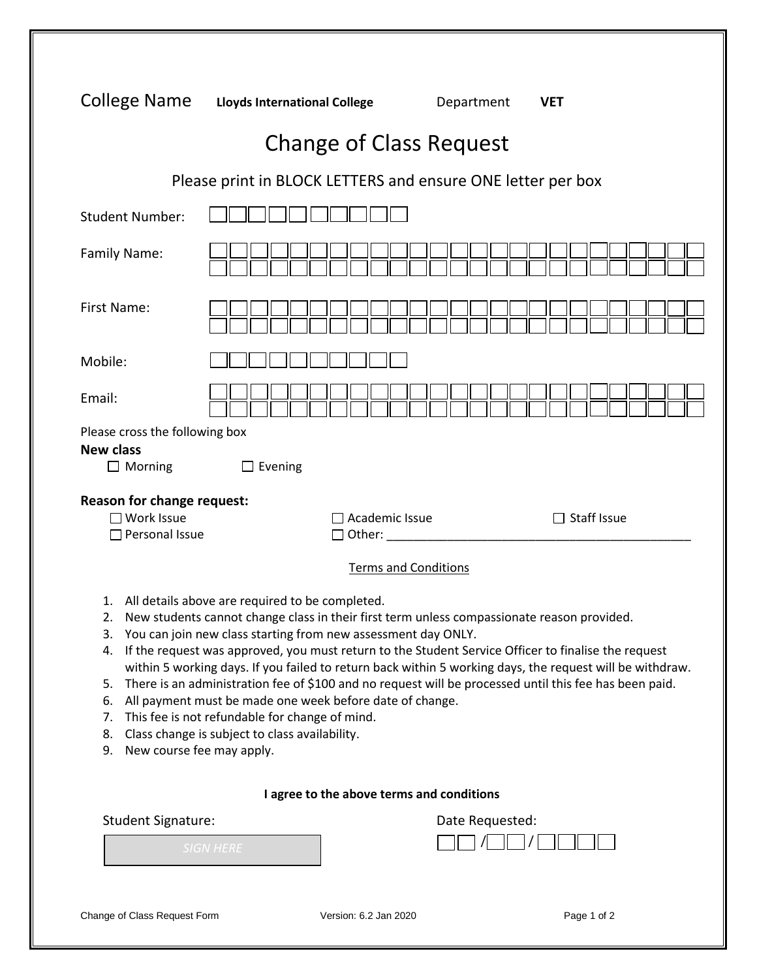| College Name                                                                    | <b>Lloyds International College</b>                                                                                                                                                                                                                                                                                                                                                                                                                                                                                                                                                                                                                                                                         | Department                  | <b>VET</b>  |
|---------------------------------------------------------------------------------|-------------------------------------------------------------------------------------------------------------------------------------------------------------------------------------------------------------------------------------------------------------------------------------------------------------------------------------------------------------------------------------------------------------------------------------------------------------------------------------------------------------------------------------------------------------------------------------------------------------------------------------------------------------------------------------------------------------|-----------------------------|-------------|
|                                                                                 | <b>Change of Class Request</b>                                                                                                                                                                                                                                                                                                                                                                                                                                                                                                                                                                                                                                                                              |                             |             |
|                                                                                 | Please print in BLOCK LETTERS and ensure ONE letter per box                                                                                                                                                                                                                                                                                                                                                                                                                                                                                                                                                                                                                                                 |                             |             |
| <b>Student Number:</b>                                                          |                                                                                                                                                                                                                                                                                                                                                                                                                                                                                                                                                                                                                                                                                                             |                             |             |
| Family Name:                                                                    |                                                                                                                                                                                                                                                                                                                                                                                                                                                                                                                                                                                                                                                                                                             |                             |             |
| First Name:                                                                     |                                                                                                                                                                                                                                                                                                                                                                                                                                                                                                                                                                                                                                                                                                             |                             |             |
| Mobile:                                                                         |                                                                                                                                                                                                                                                                                                                                                                                                                                                                                                                                                                                                                                                                                                             |                             |             |
| Email:                                                                          |                                                                                                                                                                                                                                                                                                                                                                                                                                                                                                                                                                                                                                                                                                             |                             |             |
| Please cross the following box<br><b>New class</b><br>$\Box$ Morning            | $\Box$ Evening                                                                                                                                                                                                                                                                                                                                                                                                                                                                                                                                                                                                                                                                                              |                             |             |
| Reason for change request:<br>□ Work Issue<br>$\Box$ Personal Issue             | Academic Issue<br>Other: 1988                                                                                                                                                                                                                                                                                                                                                                                                                                                                                                                                                                                                                                                                               |                             | Staff Issue |
|                                                                                 |                                                                                                                                                                                                                                                                                                                                                                                                                                                                                                                                                                                                                                                                                                             | <b>Terms and Conditions</b> |             |
| 1.<br>2.<br>3.<br>4.<br>5.<br>6.<br>7.<br>8.<br>New course fee may apply.<br>9. | All details above are required to be completed.<br>New students cannot change class in their first term unless compassionate reason provided.<br>You can join new class starting from new assessment day ONLY.<br>If the request was approved, you must return to the Student Service Officer to finalise the request<br>within 5 working days. If you failed to return back within 5 working days, the request will be withdraw.<br>There is an administration fee of \$100 and no request will be processed until this fee has been paid.<br>All payment must be made one week before date of change.<br>This fee is not refundable for change of mind.<br>Class change is subject to class availability. |                             |             |
|                                                                                 | I agree to the above terms and conditions                                                                                                                                                                                                                                                                                                                                                                                                                                                                                                                                                                                                                                                                   |                             |             |
| <b>Student Signature:</b>                                                       |                                                                                                                                                                                                                                                                                                                                                                                                                                                                                                                                                                                                                                                                                                             | Date Requested:             |             |
|                                                                                 | <b>SIGN HERE</b>                                                                                                                                                                                                                                                                                                                                                                                                                                                                                                                                                                                                                                                                                            |                             |             |
| Change of Class Request Form                                                    | Version: 6.2 Jan 2020                                                                                                                                                                                                                                                                                                                                                                                                                                                                                                                                                                                                                                                                                       |                             | Page 1 of 2 |